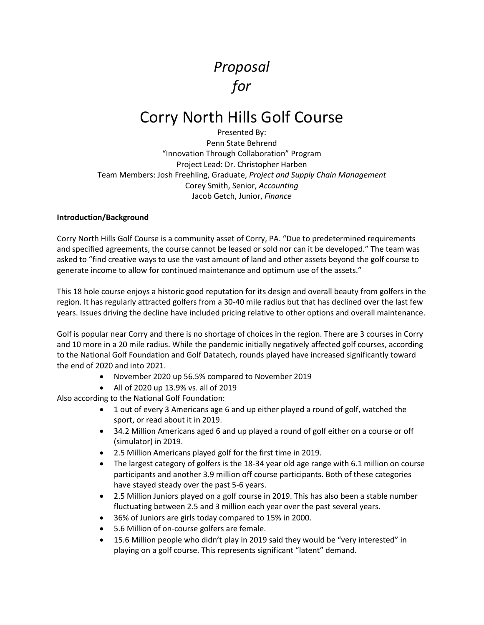# *Proposal for*

# Corry North Hills Golf Course

Presented By: Penn State Behrend "Innovation Through Collaboration" Program Project Lead: Dr. Christopher Harben Team Members: Josh Freehling, Graduate, *Project and Supply Chain Management* Corey Smith, Senior, *Accounting* Jacob Getch, Junior, *Finance*

# **Introduction/Background**

Corry North Hills Golf Course is a community asset of Corry, PA. "Due to predetermined requirements and specified agreements, the course cannot be leased or sold nor can it be developed." The team was asked to "find creative ways to use the vast amount of land and other assets beyond the golf course to generate income to allow for continued maintenance and optimum use of the assets."

This 18 hole course enjoys a historic good reputation for its design and overall beauty from golfers in the region. It has regularly attracted golfers from a 30-40 mile radius but that has declined over the last few years. Issues driving the decline have included pricing relative to other options and overall maintenance.

Golf is popular near Corry and there is no shortage of choices in the region. There are 3 courses in Corry and 10 more in a 20 mile radius. While the pandemic initially negatively affected golf courses, according to the National Golf Foundation and Golf Datatech, rounds played have increased significantly toward the end of 2020 and into 2021.

- November 2020 up 56.5% compared to November 2019
- All of 2020 up 13.9% vs. all of 2019

Also according to the National Golf Foundation:

- 1 out of every 3 Americans age 6 and up either played a round of golf, watched the sport, or read about it in 2019.
- 34.2 Million Americans aged 6 and up played a round of golf either on a course or off (simulator) in 2019.
- 2.5 Million Americans played golf for the first time in 2019.
- The largest category of golfers is the 18-34 year old age range with 6.1 million on course participants and another 3.9 million off course participants. Both of these categories have stayed steady over the past 5-6 years.
- 2.5 Million Juniors played on a golf course in 2019. This has also been a stable number fluctuating between 2.5 and 3 million each year over the past several years.
- 36% of Juniors are girls today compared to 15% in 2000.
- 5.6 Million of on-course golfers are female.
- 15.6 Million people who didn't play in 2019 said they would be "very interested" in playing on a golf course. This represents significant "latent" demand.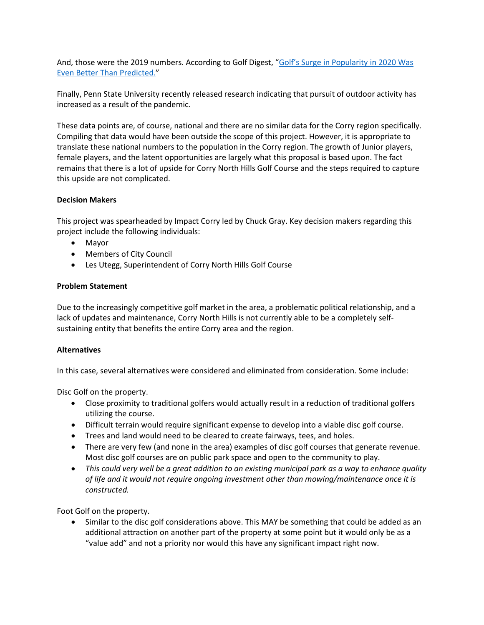And, those were the 2019 numbers. According to Golf Digest, "Golf's Surge [in Popularity in 2020 Was](https://www.golfdigest.com/story/national-golf-foundation-reports-numbers-for-2020-were-record-se)  [Even Better Than Predicted."](https://www.golfdigest.com/story/national-golf-foundation-reports-numbers-for-2020-were-record-se)

Finally, Penn State University recently released research indicating that pursuit of outdoor activity has increased as a result of the pandemic.

These data points are, of course, national and there are no similar data for the Corry region specifically. Compiling that data would have been outside the scope of this project. However, it is appropriate to translate these national numbers to the population in the Corry region. The growth of Junior players, female players, and the latent opportunities are largely what this proposal is based upon. The fact remains that there is a lot of upside for Corry North Hills Golf Course and the steps required to capture this upside are not complicated.

#### **Decision Makers**

This project was spearheaded by Impact Corry led by Chuck Gray. Key decision makers regarding this project include the following individuals:

- Mayor
- Members of City Council
- Les Utegg, Superintendent of Corry North Hills Golf Course

# **Problem Statement**

Due to the increasingly competitive golf market in the area, a problematic political relationship, and a lack of updates and maintenance, Corry North Hills is not currently able to be a completely selfsustaining entity that benefits the entire Corry area and the region.

# **Alternatives**

In this case, several alternatives were considered and eliminated from consideration. Some include:

Disc Golf on the property.

- Close proximity to traditional golfers would actually result in a reduction of traditional golfers utilizing the course.
- Difficult terrain would require significant expense to develop into a viable disc golf course.
- Trees and land would need to be cleared to create fairways, tees, and holes.
- There are very few (and none in the area) examples of disc golf courses that generate revenue. Most disc golf courses are on public park space and open to the community to play.
- *This could very well be a great addition to an existing municipal park as a way to enhance quality of life and it would not require ongoing investment other than mowing/maintenance once it is constructed.*

Foot Golf on the property.

• Similar to the disc golf considerations above. This MAY be something that could be added as an additional attraction on another part of the property at some point but it would only be as a "value add" and not a priority nor would this have any significant impact right now.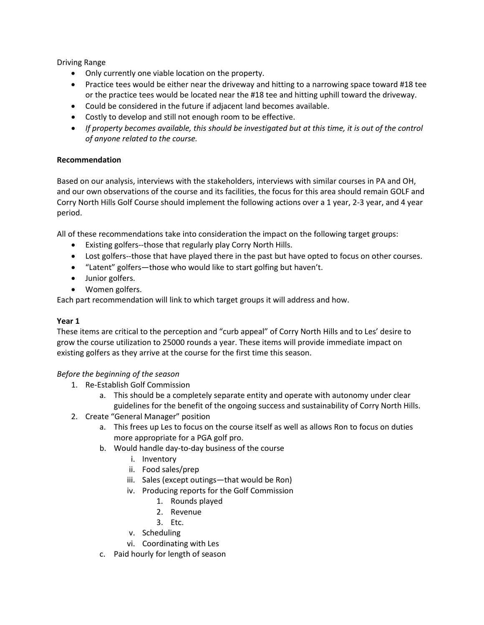Driving Range

- Only currently one viable location on the property.
- Practice tees would be either near the driveway and hitting to a narrowing space toward #18 tee or the practice tees would be located near the #18 tee and hitting uphill toward the driveway.
- Could be considered in the future if adjacent land becomes available.
- Costly to develop and still not enough room to be effective.
- *If property becomes available, this should be investigated but at this time, it is out of the control of anyone related to the course.*

# **Recommendation**

Based on our analysis, interviews with the stakeholders, interviews with similar courses in PA and OH, and our own observations of the course and its facilities, the focus for this area should remain GOLF and Corry North Hills Golf Course should implement the following actions over a 1 year, 2-3 year, and 4 year period.

All of these recommendations take into consideration the impact on the following target groups:

- Existing golfers--those that regularly play Corry North Hills.
- Lost golfers--those that have played there in the past but have opted to focus on other courses.
- "Latent" golfers—those who would like to start golfing but haven't.
- Junior golfers.
- Women golfers.

Each part recommendation will link to which target groups it will address and how.

#### **Year 1**

These items are critical to the perception and "curb appeal" of Corry North Hills and to Les' desire to grow the course utilization to 25000 rounds a year. These items will provide immediate impact on existing golfers as they arrive at the course for the first time this season.

#### *Before the beginning of the season*

- 1. Re-Establish Golf Commission
	- a. This should be a completely separate entity and operate with autonomy under clear guidelines for the benefit of the ongoing success and sustainability of Corry North Hills.
- 2. Create "General Manager" position
	- a. This frees up Les to focus on the course itself as well as allows Ron to focus on duties more appropriate for a PGA golf pro.
	- b. Would handle day-to-day business of the course
		- i. Inventory
		- ii. Food sales/prep
		- iii. Sales (except outings—that would be Ron)
		- iv. Producing reports for the Golf Commission
			- 1. Rounds played
			- 2. Revenue
			- 3. Etc.
		- v. Scheduling
		- vi. Coordinating with Les
	- c. Paid hourly for length of season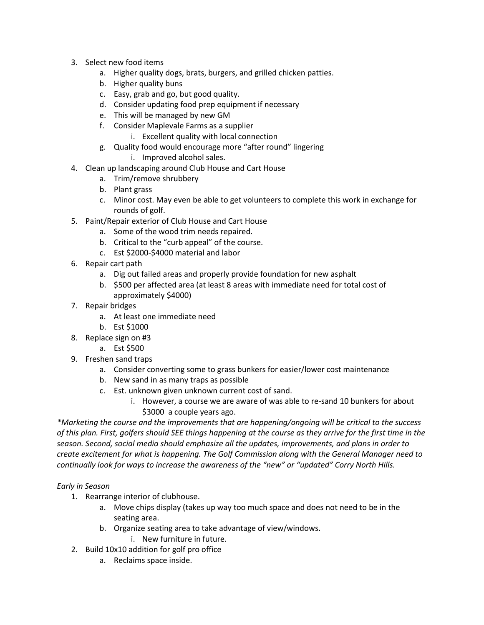- 3. Select new food items
	- a. Higher quality dogs, brats, burgers, and grilled chicken patties.
	- b. Higher quality buns
	- c. Easy, grab and go, but good quality.
	- d. Consider updating food prep equipment if necessary
	- e. This will be managed by new GM
	- f. Consider Maplevale Farms as a supplier
		- i. Excellent quality with local connection
	- g. Quality food would encourage more "after round" lingering
		- i. Improved alcohol sales.
- 4. Clean up landscaping around Club House and Cart House
	- a. Trim/remove shrubbery
	- b. Plant grass
	- c. Minor cost. May even be able to get volunteers to complete this work in exchange for rounds of golf.
- 5. Paint/Repair exterior of Club House and Cart House
	- a. Some of the wood trim needs repaired.
	- b. Critical to the "curb appeal" of the course.
	- c. Est \$2000-\$4000 material and labor
- 6. Repair cart path
	- a. Dig out failed areas and properly provide foundation for new asphalt
	- b. \$500 per affected area (at least 8 areas with immediate need for total cost of approximately \$4000)
- 7. Repair bridges
	- a. At least one immediate need
	- b. Est \$1000
- 8. Replace sign on #3
	- a. Est \$500
- 9. Freshen sand traps
	- a. Consider converting some to grass bunkers for easier/lower cost maintenance
	- b. New sand in as many traps as possible
	- c. Est. unknown given unknown current cost of sand.
		- i. However, a course we are aware of was able to re-sand 10 bunkers for about \$3000 a couple years ago.

*\*Marketing the course and the improvements that are happening/ongoing will be critical to the success of this plan. First, golfers should SEE things happening at the course as they arrive for the first time in the season. Second, social media should emphasize all the updates, improvements, and plans in order to create excitement for what is happening. The Golf Commission along with the General Manager need to continually look for ways to increase the awareness of the "new" or "updated" Corry North Hills.*

#### *Early in Season*

- 1. Rearrange interior of clubhouse.
	- a. Move chips display (takes up way too much space and does not need to be in the seating area.
	- b. Organize seating area to take advantage of view/windows.
		- i. New furniture in future.
- 2. Build 10x10 addition for golf pro office
	- a. Reclaims space inside.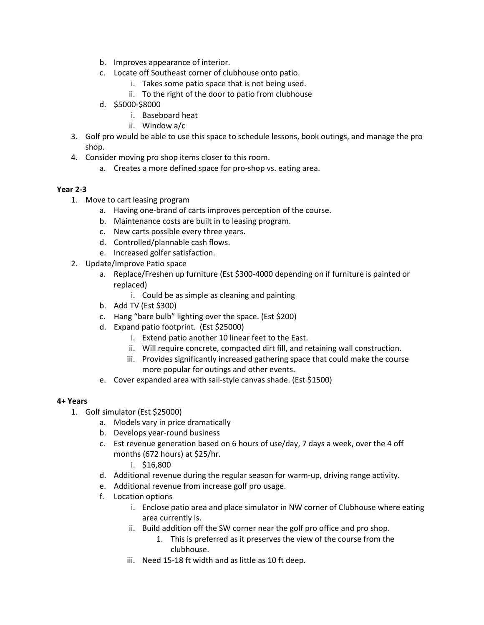- b. Improves appearance of interior.
- c. Locate off Southeast corner of clubhouse onto patio.
	- i. Takes some patio space that is not being used.
	- ii. To the right of the door to patio from clubhouse
- d. \$5000-\$8000
	- i. Baseboard heat
	- ii. Window a/c
- 3. Golf pro would be able to use this space to schedule lessons, book outings, and manage the pro shop.
- 4. Consider moving pro shop items closer to this room.
	- a. Creates a more defined space for pro-shop vs. eating area.

# **Year 2-3**

- 1. Move to cart leasing program
	- a. Having one-brand of carts improves perception of the course.
	- b. Maintenance costs are built in to leasing program.
	- c. New carts possible every three years.
	- d. Controlled/plannable cash flows.
	- e. Increased golfer satisfaction.
- 2. Update/Improve Patio space
	- a. Replace/Freshen up furniture (Est \$300-4000 depending on if furniture is painted or replaced)
		- i. Could be as simple as cleaning and painting
	- b. Add TV (Est \$300)
	- c. Hang "bare bulb" lighting over the space. (Est \$200)
	- d. Expand patio footprint. (Est \$25000)
		- i. Extend patio another 10 linear feet to the East.
		- ii. Will require concrete, compacted dirt fill, and retaining wall construction.
		- iii. Provides significantly increased gathering space that could make the course more popular for outings and other events.
	- e. Cover expanded area with sail-style canvas shade. (Est \$1500)

#### **4+ Years**

- 1. Golf simulator (Est \$25000)
	- a. Models vary in price dramatically
	- b. Develops year-round business
	- c. Est revenue generation based on 6 hours of use/day, 7 days a week, over the 4 off months (672 hours) at \$25/hr.
		- i. \$16,800
	- d. Additional revenue during the regular season for warm-up, driving range activity.
	- e. Additional revenue from increase golf pro usage.
	- f. Location options
		- i. Enclose patio area and place simulator in NW corner of Clubhouse where eating area currently is.
		- ii. Build addition off the SW corner near the golf pro office and pro shop.
			- 1. This is preferred as it preserves the view of the course from the clubhouse.
		- iii. Need 15-18 ft width and as little as 10 ft deep.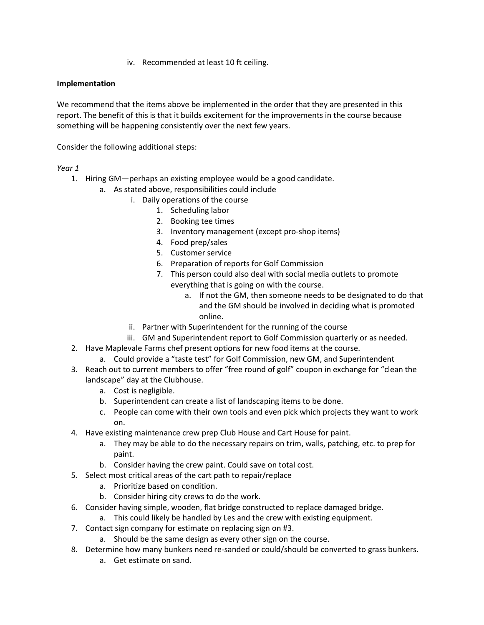iv. Recommended at least 10 ft ceiling.

# **Implementation**

We recommend that the items above be implemented in the order that they are presented in this report. The benefit of this is that it builds excitement for the improvements in the course because something will be happening consistently over the next few years.

Consider the following additional steps:

*Year 1*

- 1. Hiring GM—perhaps an existing employee would be a good candidate.
	- a. As stated above, responsibilities could include
		- i. Daily operations of the course
			- 1. Scheduling labor
			- 2. Booking tee times
			- 3. Inventory management (except pro-shop items)
			- 4. Food prep/sales
			- 5. Customer service
			- 6. Preparation of reports for Golf Commission
			- 7. This person could also deal with social media outlets to promote everything that is going on with the course.
				- a. If not the GM, then someone needs to be designated to do that and the GM should be involved in deciding what is promoted online.
		- ii. Partner with Superintendent for the running of the course
		- iii. GM and Superintendent report to Golf Commission quarterly or as needed.
- 2. Have Maplevale Farms chef present options for new food items at the course.
	- a. Could provide a "taste test" for Golf Commission, new GM, and Superintendent
- 3. Reach out to current members to offer "free round of golf" coupon in exchange for "clean the landscape" day at the Clubhouse.
	- a. Cost is negligible.
	- b. Superintendent can create a list of landscaping items to be done.
	- c. People can come with their own tools and even pick which projects they want to work on.
- 4. Have existing maintenance crew prep Club House and Cart House for paint.
	- a. They may be able to do the necessary repairs on trim, walls, patching, etc. to prep for paint.
	- b. Consider having the crew paint. Could save on total cost.
- 5. Select most critical areas of the cart path to repair/replace
	- a. Prioritize based on condition.
	- b. Consider hiring city crews to do the work.
- 6. Consider having simple, wooden, flat bridge constructed to replace damaged bridge.
- a. This could likely be handled by Les and the crew with existing equipment.
- 7. Contact sign company for estimate on replacing sign on #3.
	- a. Should be the same design as every other sign on the course.
- 8. Determine how many bunkers need re-sanded or could/should be converted to grass bunkers.
	- a. Get estimate on sand.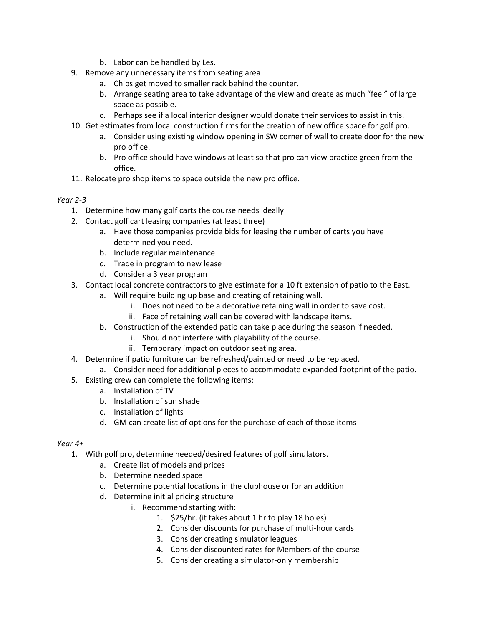- b. Labor can be handled by Les.
- 9. Remove any unnecessary items from seating area
	- a. Chips get moved to smaller rack behind the counter.
	- b. Arrange seating area to take advantage of the view and create as much "feel" of large space as possible.
	- c. Perhaps see if a local interior designer would donate their services to assist in this.
- 10. Get estimates from local construction firms for the creation of new office space for golf pro.
	- a. Consider using existing window opening in SW corner of wall to create door for the new pro office.
	- b. Pro office should have windows at least so that pro can view practice green from the office.
- 11. Relocate pro shop items to space outside the new pro office.

#### *Year 2-3*

- 1. Determine how many golf carts the course needs ideally
- 2. Contact golf cart leasing companies (at least three)
	- a. Have those companies provide bids for leasing the number of carts you have determined you need.
	- b. Include regular maintenance
	- c. Trade in program to new lease
	- d. Consider a 3 year program
- 3. Contact local concrete contractors to give estimate for a 10 ft extension of patio to the East.
	- a. Will require building up base and creating of retaining wall.
		- i. Does not need to be a decorative retaining wall in order to save cost.
		- ii. Face of retaining wall can be covered with landscape items.
	- b. Construction of the extended patio can take place during the season if needed.
		- i. Should not interfere with playability of the course.
		- ii. Temporary impact on outdoor seating area.
- 4. Determine if patio furniture can be refreshed/painted or need to be replaced.
	- a. Consider need for additional pieces to accommodate expanded footprint of the patio.
- 5. Existing crew can complete the following items:
	- a. Installation of TV
	- b. Installation of sun shade
	- c. Installation of lights
	- d. GM can create list of options for the purchase of each of those items

#### *Year 4+*

- 1. With golf pro, determine needed/desired features of golf simulators.
	- a. Create list of models and prices
	- b. Determine needed space
	- c. Determine potential locations in the clubhouse or for an addition
	- d. Determine initial pricing structure
		- i. Recommend starting with:
			- 1. \$25/hr. (it takes about 1 hr to play 18 holes)
			- 2. Consider discounts for purchase of multi-hour cards
			- 3. Consider creating simulator leagues
			- 4. Consider discounted rates for Members of the course
			- 5. Consider creating a simulator-only membership